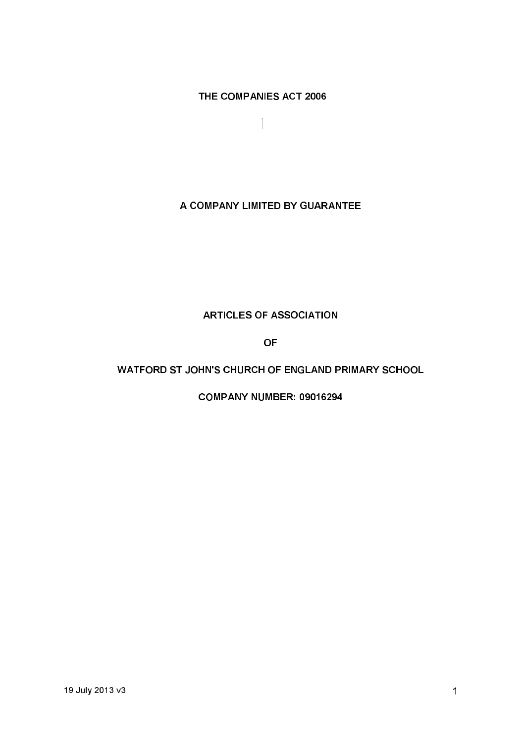THE COMPANIES ACT 2006

 $\bigl[$ 

# A COMPANY LIMITED BY GUARANTEE

# **ARTICLES OF ASSOCIATION**

**OF** 

# WATFORD ST JOHN'S CHURCH OF ENGLAND PRIMARY SCHOOL

**COMPANY NUMBER: 09016294**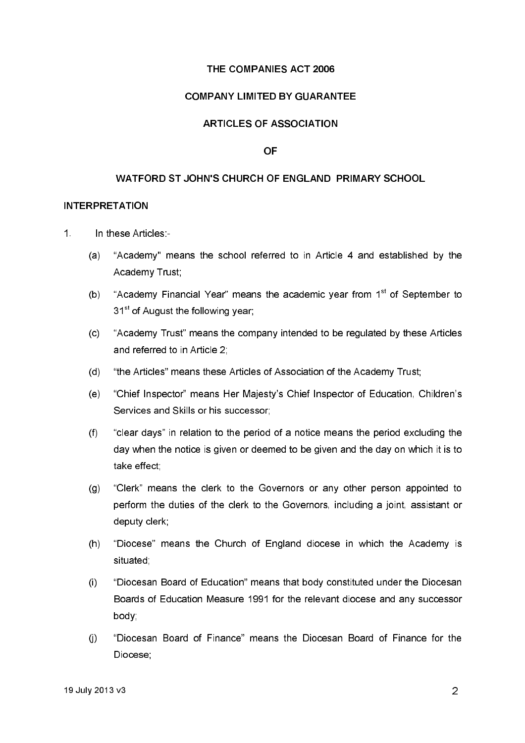### THE COMPANIES ACT 2006

### **COMPANY LIMITED BY GUARANTEE**

## **ARTICLES OF ASSOCIATION**

#### **OF**

#### WATFORD ST JOHN'S CHURCH OF ENGLAND PRIMARY SCHOOL

#### **INTERPRETATION**

- $\overline{1}$ In these Articles:-
	- $(a)$ "Academy" means the school referred to in Article 4 and established by the Academy Trust;
	- "Academy Financial Year" means the academic year from 1<sup>st</sup> of September to  $(b)$ 31<sup>st</sup> of August the following year;
	- "Academy Trust" means the company intended to be regulated by these Articles  $(c)$ and referred to in Article 2:
	- $(d)$ "the Articles" means these Articles of Association of the Academy Trust;
	- "Chief Inspector" means Her Majesty's Chief Inspector of Education, Children's  $(e)$ Services and Skills or his successor:
	- $(f)$ "clear days" in relation to the period of a notice means the period excluding the day when the notice is given or deemed to be given and the day on which it is to take effect:
	- "Clerk" means the clerk to the Governors or any other person appointed to  $(g)$ perform the duties of the clerk to the Governors, including a joint, assistant or deputy clerk;
	- "Diocese" means the Church of England diocese in which the Academy is  $(h)$ situated.
	- $\left($ i "Diocesan Board of Education" means that body constituted under the Diocesan Boards of Education Measure 1991 for the relevant diocese and any successor body.
	- "Diocesan Board of Finance" means the Diocesan Board of Finance for the  $(i)$ Diocese: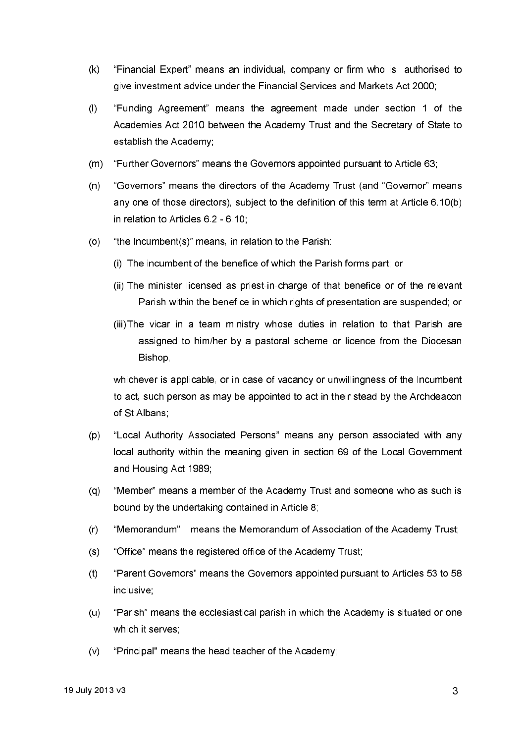- "Financial Expert" means an individual, company or firm who is authorised to  $(k)$ give investment advice under the Financial Services and Markets Act 2000;
- "Funding Agreement" means the agreement made under section 1 of the  $(1)$ Academies Act 2010 between the Academy Trust and the Secretary of State to establish the Academy;
- "Further Governors" means the Governors appointed pursuant to Article 63;  $(m)$
- $(n)$ "Governors" means the directors of the Academy Trust (and "Governor" means any one of those directors), subject to the definition of this term at Article 6.10(b) in relation to Articles 6.2 - 6.10:
- $(0)$ "the Incumbent(s)" means, in relation to the Parish:
	- (i) The incumbent of the benefice of which the Parish forms part; or
	- (ii) The minister licensed as priest-in-charge of that benefice or of the relevant Parish within the benefice in which rights of presentation are suspended; or
	- (iii) The vicar in a team ministry whose duties in relation to that Parish are assigned to him/her by a pastoral scheme or licence from the Diocesan Bishop,

whichever is applicable, or in case of vacancy or unwillingness of the Incumbent to act, such person as may be appointed to act in their stead by the Archdeacon of St Albans

- "Local Authority Associated Persons" means any person associated with any  $(p)$ local authority within the meaning given in section 69 of the Local Government and Housing Act 1989:
- "Member" means a member of the Academy Trust and someone who as such is  $(q)$ bound by the undertaking contained in Article 8;
- $(r)$ "Memorandum" means the Memorandum of Association of the Academy Trust;
- "Office" means the registered office of the Academy Trust;  $(s)$
- $(t)$ "Parent Govemors" means the Governors appointed pursuant to Articles 53 to 58 inclusive:
- $(u)$ "Parish" means the ecclesiastical parish in which the Academy is situated or one which it serves:
- "Principal" means the head teacher of the Academy;  $(v)$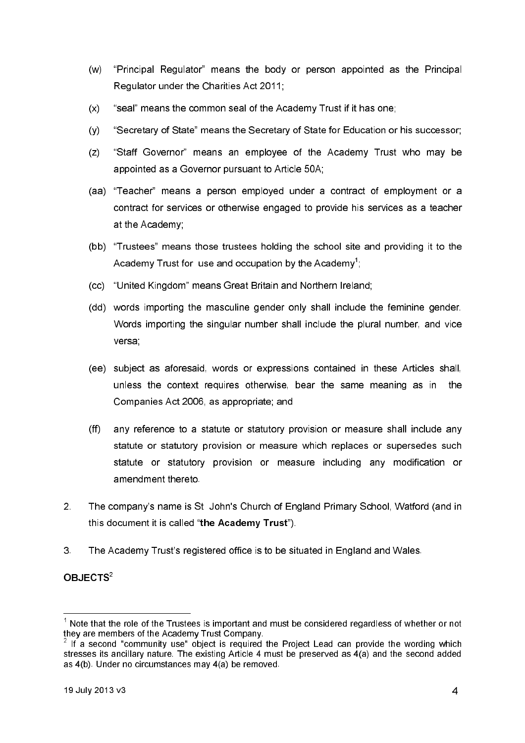- $(w)$ "Principal Regulator" means the body or person appointed as the Principal Regulator under the Charities Act 2011;
- "seal" means the common seal of the Academy Trust if it has one;  $(x)$
- "Secretary of State" means the Secretary of State for Education or his successor;  $(y)$
- "Staff Governor" means an employee of the Academy Trust who may be  $(z)$ appointed as a Governor pursuant to Article 50A;
- "Teacher" means a person emploved under a contract of employment or a  $(aa)$ contract for services or otherwise engaged to provide his services as a teacher at the Academy;
- (bb) "Trustees" means those trustees holding the school site and providing it to the Academy Trust for use and occupation by the Academy<sup>1</sup>.
- "United Kingdom" means Great Britain and Northern Ireland;  $(cc)$
- (dd) words importing the masculine gender only shall include the feminine gender. Words importing the singular number shall include the plural number, and vice versa;
- (ee) subject as aforesaid, words or expressions contained in these Articles shall. unless the context requires otherwise, bear the same meaning as in the Companies Act 2006, as appropriate; and
- $(ff)$ any reference to a statute or statutory provision or measure shall include any statute or statutory provision or measure which replaces or supersedes such statute or statutory provision or measure including any modification or amendment thereto.
- $2<sup>1</sup>$ The company's name is St John's Church of England Primary School, Watford (and in this document it is called "the Academy Trust").
- $3<sup>1</sup>$ The Academy Trust's registered office is to be situated in England and Wales.

## $OB.$  IECTS<sup>2</sup>

 $1$  Note that the role of the Trustees is important and must be considered regardless of whether or not they are members of the Academy Trust Company.

 $2$  If a second "community use" object is required the Project Lead can provide the wording which stresses its ancillary nature. The existing Article 4 must be preserved as 4(a) and the second added as 4(b). Under no circumstances may 4(a) be removed.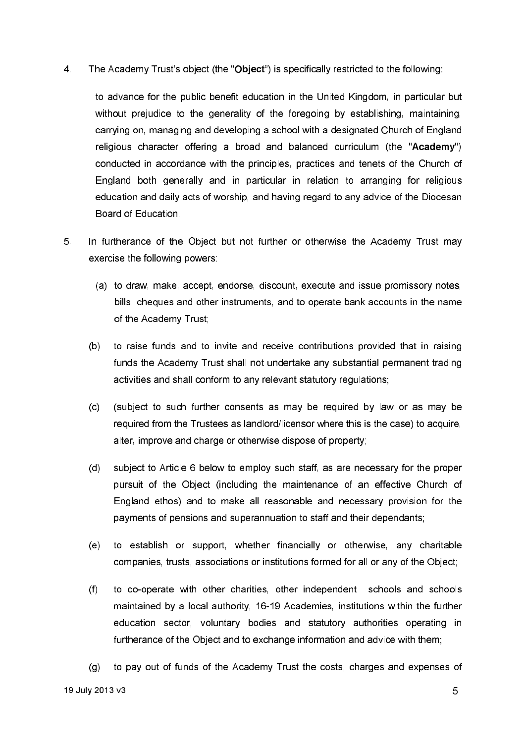$\overline{4}$ The Academy Trust's object (the "Object") is specifically restricted to the following:

to advance for the public benefit education in the United Kingdom, in particular but without prejudice to the generality of the foregoing by establishing, maintaining. carrying on, managing and developing a school with a designated Church of England religious character offering a broad and balanced curriculum (the "Academy") conducted in accordance with the principles, practices and tenets of the Church of England both generally and in particular in relation to arranging for religious education and daily acts of worship, and having regard to any advice of the Diocesan Board of Education.

- 5. In furtherance of the Object but not further or otherwise the Academy Trust may exercise the following powers:
	- (a) to draw, make, accept, endorse, discount, execute and issue promissory notes, bills, cheques and other instruments, and to operate bank accounts in the name of the Academy Trust;
	- $(b)$ to raise funds and to invite and receive contributions provided that in raising funds the Academy Trust shall not undertake any substantial permanent trading activities and shall conform to any relevant statutory regulations;
	- $(c)$ (subject to such further consents as may be required by law or as may be required from the Trustees as landlord/licensor where this is the case) to acquire. alter, improve and charge or otherwise dispose of property;
	- $(d)$ subject to Article 6 below to employ such staff, as are necessary for the proper pursuit of the Object (including the maintenance of an effective Church of England ethos) and to make all reasonable and necessary provision for the payments of pensions and superannuation to staff and their dependants;
	- $(e)$ to establish or support, whether financially or otherwise, any charitable companies, trusts, associations or institutions formed for all or any of the Object;
	- to co-operate with other charities, other independent schools and schools  $(f)$ maintained by a local authority, 16-19 Academies, institutions within the further education sector, voluntary bodies and statutory authorities operating in furtherance of the Object and to exchange information and advice with them;
	- to pay out of funds of the Academy Trust the costs, charges and expenses of  $(g)$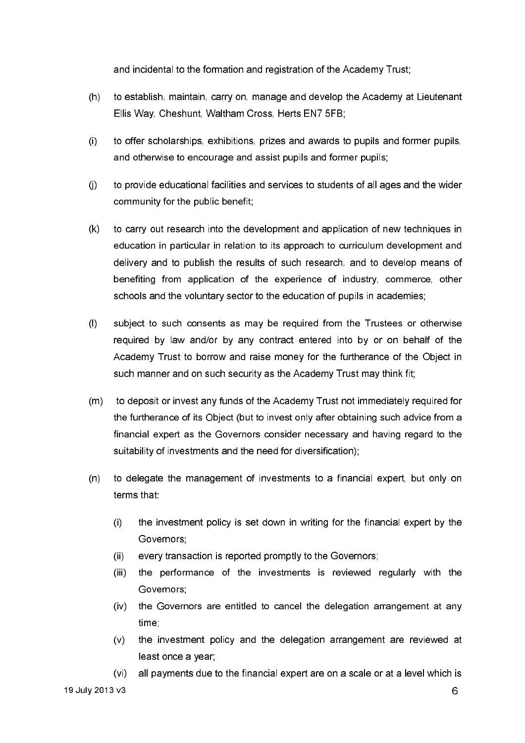and incidental to the formation and registration of the Academy Trust;

- $(h)$ to establish, maintain, carry on, manage and develop the Academy at Lieutenant Ellis Way, Cheshunt, Waltham Cross, Herts EN7 5FB:
- to offer scholarships, exhibitions, prizes and awards to pupils and former pupils,  $(i)$ and otherwise to encourage and assist pupils and former pupils;
- to provide educational facilities and services to students of all ages and the wider  $(i)$ community for the public benefit;
- $(k)$ to carry out research into the development and application of new techniques in education in particular in relation to its approach to curriculum development and delivery and to publish the results of such research, and to develop means of benefiting from application of the experience of industry, commerce, other schools and the voluntary sector to the education of pupils in academies;
- $(1)$ subject to such consents as may be required from the Trustees or otherwise required by law and/or by any contract entered into by or on behalf of the Academy Trust to borrow and raise money for the furtherance of the Object in such manner and on such security as the Academy Trust may think fit;
- to deposit or invest any funds of the Academy Trust not immediately required for  $(m)$ the furtherance of its Object (but to invest only after obtaining such advice from a financial expert as the Governors consider necessary and having regard to the suitability of investments and the need for diversification);
- $(n)$ to delegate the management of investments to a financial expert, but only on terms that:
	- $(i)$ the investment policy is set down in writing for the financial expert by the Governors:
	- $(ii)$ every transaction is reported promptly to the Governors;
	- $(iii)$ the performance of the investments is reviewed regularly with the Governors:
	- (iv) the Governors are entitled to cancel the delegation arrangement at any time
	- the investment policy and the delegation arrangement are reviewed at  $(v)$ least once a year:
	- all payments due to the financial expert are on a scale or at a level which is  $(v<sub>i</sub>)$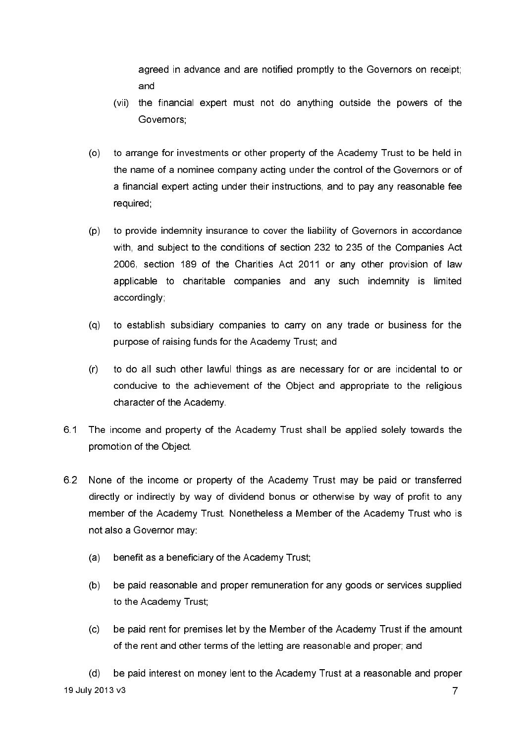agreed in advance and are notified promptly to the Governors on receipt; and

- (vii) the financial expert must not do anything outside the powers of the Governors:
- to arrange for investments or other property of the Academy Trust to be held in  $(0)$ the name of a nominee company acting under the control of the Governors or of a financial expert acting under their instructions, and to pay any reasonable fee required;
- to provide indemnity insurance to cover the liability of Governors in accordance  $(p)$ with, and subject to the conditions of section 232 to 235 of the Companies Act 2006, section 189 of the Charities Act 2011 or any other provision of law applicable to charitable companies and any such indemnity is limited accordingly:
- $(a)$ to establish subsidiary companies to carry on any trade or business for the purpose of raising funds for the Academy Trust; and
- $(r)$ to do all such other lawful things as are necessary for or are incidental to or conducive to the achievement of the Object and appropriate to the religious character of the Academy.
- 6.1 The income and property of the Academy Trust shall be applied solely towards the promotion of the Object.
- 6.2 None of the income or property of the Academy Trust may be paid or transferred directly or indirectly by way of dividend bonus or otherwise by way of profit to any member of the Academy Trust. Nonetheless a Member of the Academy Trust who is not also a Governor may:
	- benefit as a beneficiary of the Academy Trust;  $(a)$
	- $(b)$ be paid reasonable and proper remuneration for any goods or services supplied to the Academy Trust;
	- $(c)$ be paid rent for premises let by the Member of the Academy Trust if the amount of the rent and other terms of the letting are reasonable and proper; and

be paid interest on money lent to the Academy Trust at a reasonable and proper  $(d)$ 19 July 2013 v3  $\overline{7}$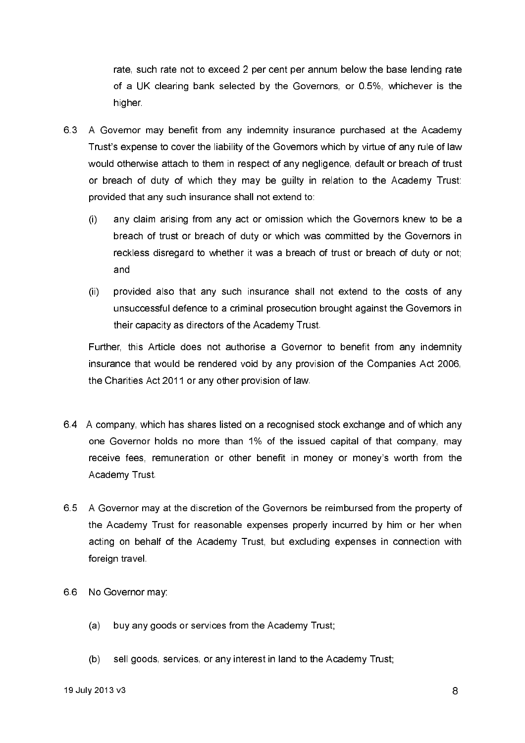rate, such rate not to exceed 2 per cent per annum below the base lending rate of a UK clearing bank selected by the Governors, or 0.5%, whichever is the higher

- 6.3 A Governor may benefit from any indemnity insurance purchased at the Academy Trust's expense to cover the liability of the Governors which by virtue of any rule of law would otherwise attach to them in respect of any negligence, default or breach of trust or breach of duty of which they may be quilty in relation to the Academy Trust: provided that any such insurance shall not extend to:
	- any claim arising from any act or omission which the Governors knew to be a  $(1)$ breach of trust or breach of duty or which was committed by the Governors in reckless disregard to whether it was a breach of trust or breach of duty or not; and
	- $(ii)$ provided also that any such insurance shall not extend to the costs of any unsuccessful defence to a criminal prosecution brought against the Governors in their capacity as directors of the Academy Trust.

Further, this Article does not authorise a Governor to benefit from any indemnity insurance that would be rendered void by any provision of the Companies Act 2006. the Charities Act 2011 or any other provision of law.

- 6.4 A company, which has shares listed on a recognised stock exchange and of which any one Governor holds no more than 1% of the issued capital of that company, may receive fees, remuneration or other benefit in money or money's worth from the Academy Trust
- 6.5 A Governor may at the discretion of the Governors be reimbursed from the property of the Academy Trust for reasonable expenses properly incurred by him or her when acting on behalf of the Academy Trust, but excluding expenses in connection with foreign travel
- 6.6 No Governor may
	- $(a)$ buy any goods or services from the Academy Trust;
	- $(b)$ sell goods, services, or any interest in land to the Academy Trust;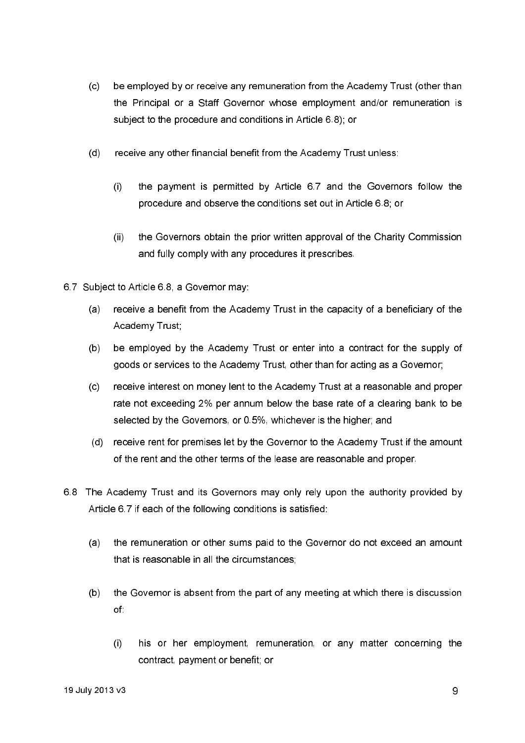- $(c)$ be employed by or receive any remuneration from the Academy Trust (other than the Principal or a Staff Governor whose employment and/or remuneration is subject to the procedure and conditions in Article 6.8); or
- $(d)$ receive any other financial benefit from the Academy Trust unless:
	- the payment is permitted by Article 6.7 and the Governors follow the  $(i)$ procedure and observe the conditions set out in Article 6.8; or
	- the Governors obtain the prior written approval of the Charity Commission  $(i)$ and fully comply with any procedures it prescribes.
- 6.7 Subject to Article 6.8, a Governor may:
	- receive a benefit from the Academy Trust in the capacity of a beneficiary of the  $(a)$ Academy Trust:
	- be employed by the Academy Trust or enter into a contract for the supply of  $(b)$ goods or services to the Academy Trust, other than for acting as a Governor;
	- receive interest on money lent to the Academy Trust at a reasonable and proper  $(c)$ rate not exceeding 2% per annum below the base rate of a clearing bank to be selected by the Governors, or 0.5%, whichever is the higher; and
	- (d) receive rent for premises let by the Governor to the Academy Trust if the amount of the rent and the other terms of the lease are reasonable and proper.
- 6.8 The Academy Trust and its Governors may only rely upon the authority provided by Article 6.7 if each of the following conditions is satisfied:
	- the remuneration or other sums paid to the Governor do not exceed an amount  $(a)$ that is reasonable in all the circumstances:
	- $(b)$ the Governor is absent from the part of any meeting at which there is discussion of.
		- his or her employment, remuneration, or any matter concerning the  $\left( \cdot \right)$ contract, payment or benefit; or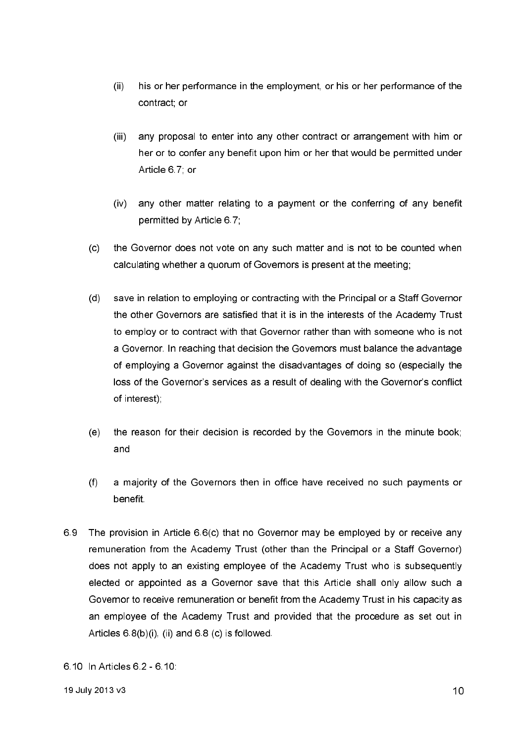- $(ii)$ his or her performance in the employment, or his or her performance of the contract: or
- $(iii)$ any proposal to enter into any other contract or arrangement with him or her or to confer any benefit upon him or her that would be permitted under Article 67 or
- $(iv)$ any other matter relating to a payment or the conferring of any benefit permitted by Article 6.7;
- $(c)$ the Governor does not vote on any such matter and is not to be counted when calculating whether a quorum of Governors is present at the meeting;
- $(d)$ save in relation to employing or contracting with the Principal or a Staff Governor the other Governors are satisfied that it is in the interests of the Academy Trust to employ or to contract with that Governor rather than with someone who is not a Governor. In reaching that decision the Governors must balance the advantage of employing a Governor against the disadvantages of doing so (especially the loss of the Governor's services as a result of dealing with the Governor's conflict of interest);
- the reason for their decision is recorded by the Governors in the minute book;  $(e)$ and
- $(f)$ a majority of the Governors then in office have received no such payments or benefit
- 69 The provision in Article 6.6(c) that no Governor may be employed by or receive any remuneration from the Academy Trust (other than the Principal or a Staff Governor) does not apply to an existing employee of the Academy Trust who is subsequently elected or appointed as a Governor save that this Article shall only allow such a Governor to receive remuneration or benefit from the Academy Trust in his capacity as an employee of the Academy Trust and provided that the procedure as set out in Articles  $6.8(b)(i)$ , (ii) and  $6.8$  (c) is followed.
- 6.10 In Articles 6.2 6.10: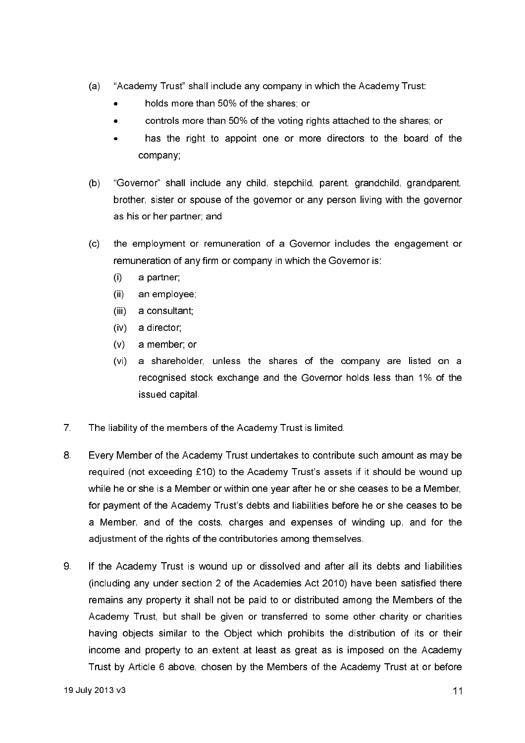- $(a)$ "Academy Trust" shall include any company in which the Academy Trust:
	- holds more than 50% of the shares: or
	- controls more than 50% of the voting rights attached to the shares; or
	- has the right to appoint one or more directors to the board of the company;
- $(b)$ "Governor" shall include any child, stepchild, parent, grandchild, grandparent, brother, sister or spouse of the governor or any person living with the governor as his or her partner; and
- the employment or remuneration of a Governor includes the engagement or  $(c)$ remuneration of any firm or company in which the Governor is:
	- $\left( \cdot \right)$ a partner:
	- $(ii)$ an employee;
	- $(iii)$ a consultant;
	- $(iv)$ a director:
	- $(v)$ a member; or
	- $(vi)$ a shareholder, unless the shares of the company are listed on a recognised stock exchange and the Governor holds less than 1% of the issued capital
- $7<sup>1</sup>$ The liability of the members of the Academy Trust is limited.
- 8 Every Member of the Academy Trust undertakes to contribute such amount as may be required (not exceeding £10) to the Academy Trust's assets if it should be wound up while he or she is a Member or within one year after he or she ceases to be a Member, for payment of the Academy Trust's debts and liabilities before he or she ceases to be a Member, and of the costs, charges and expenses of winding up, and for the adjustment of the rights of the contributories among themselves.
- 9 If the Academy Trust is wound up or dissolved and after all its debts and liabilities (including any under section 2 of the Academies Act 2010) have been satisfied there remains any property it shall not be paid to or distributed among the Members of the Academy Trust, but shall be given or transferred to some other charity or charities having objects similar to the Object which prohibits the distribution of its or their income and property to an extent at least as great as is imposed on the Academy Trust by Article 6 above, chosen by the Members of the Academy Trust at or before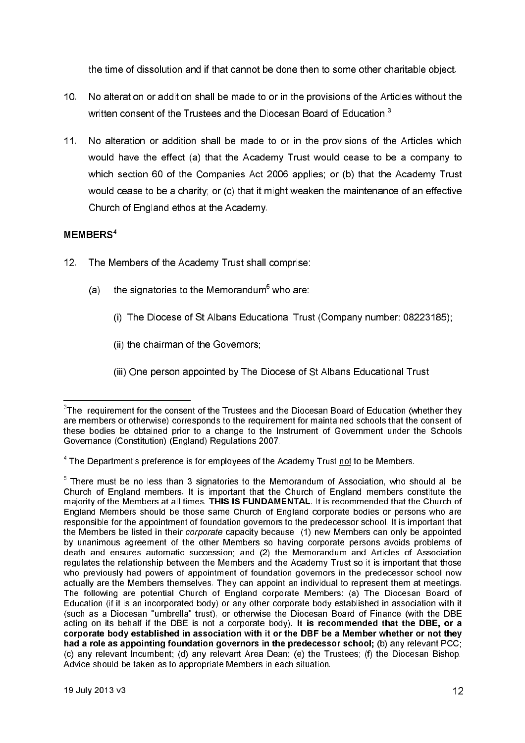the time of dissolution and if that cannot be done then to some other charitable object.

- $10<sup>1</sup>$ No alteration or addition shall be made to or in the provisions of the Articles without the written consent of the Trustees and the Diocesan Board of Education.<sup>3</sup>
- $11.$ No alteration or addition shall be made to or in the provisions of the Articles which would have the effect (a) that the Academy Trust would cease to be a company to which section 60 of the Companies Act 2006 applies; or (b) that the Academy Trust would cease to be a charity; or (c) that it might weaken the maintenance of an effective Church of England ethos at the Academy.

## MEMBERS<sup>4</sup>

- $12<sub>1</sub>$ The Members of the Academy Trust shall comprise:
	- the signatories to the Memorandum<sup>5</sup> who are:  $(a)$ 
		- (i) The Diocese of St Albans Educational Trust (Company number: 08223185):
		- (ii) the chairman of the Governors;
		- (iii) One person appointed by The Diocese of St Albans Educational Trust

 $3$ The requirement for the consent of the Trustees and the Diocesan Board of Education (whether they are members or otherwise) corresponds to the requirement for maintained schools that the consent of these bodies be obtained prior to a change to the Instrument of Government under the Schools Governance (Constitution) (England) Regulations 2007

 $4$  The Department's preference is for employees of the Academy Trust not to be Members.

 $5$  There must be no less than 3 signatories to the Memorandum of Association, who should all be Church of England members. It is important that the Church of England members constitute the majority of the Members at all times. THIS IS FUNDAMENTAL. It is recommended that the Church of England Members should be those same Church of England corporate bodies or persons who are responsible for the appointment of foundation governors to the predecessor school. It is important that the Members be listed in their *corporate* capacity because (1) new Members can only be appointed by unanimous agreement of the other Members so having corporate persons avoids problems of death and ensures automatic succession; and (2) the Memorandum and Articles of Association regulates the relationship between the Members and the Academy Trust so it is important that those who previously had powers of appointment of foundation governors in the predecessor school now actually are the Members themselves. They can appoint an individual to represent them at meetings. The following are potential Church of England corporate Members: (a) The Diocesan Board of Education (if it is an incorporated body) or any other corporate body established in association with it (such as a Diocesan "umbrella" trust), or otherwise the Diocesan Board of Finance (with the DBE acting on its behalf if the DBE is not a corporate body). It is recommended that the DBE, or a corporate body established in association with it or the DBF be a Member whether or not they had a role as appointing foundation governors in the predecessor school; (b) any relevant PCC; (c) any relevant incumbent: (d) any relevant Area Dean: (e) the Trustees: (f) the Diocesan Bishop. Advice should be taken as to appropriate Members in each situation.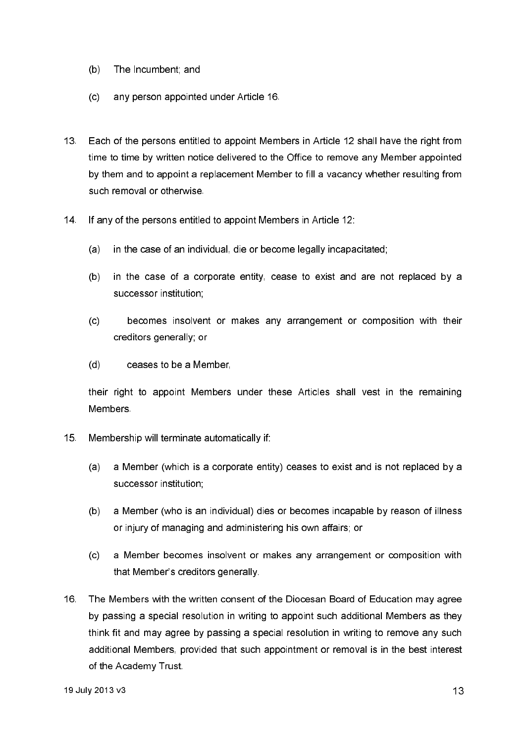- $(b)$ The Incumbent; and
- $(c)$ any person appointed under Article 16.
- $13<sup>7</sup>$ Each of the persons entitled to appoint Members in Article 12 shall have the right from time to time by written notice delivered to the Office to remove any Member appointed by them and to appoint a replacement Member to fill a vacancy whether resulting from such removal or otherwise.
- $14.$ If any of the persons entitled to appoint Members in Article 12:
	- in the case of an individual, die or become legally incapacitated;  $(a)$
	- in the case of a corporate entity, cease to exist and are not replaced by a  $(b)$ successor institution;
	- becomes insolvent or makes any arrangement or composition with their  $(c)$ creditors generally; or
	- $(d)$ ceases to be a Member,

their right to appoint Members under these Articles shall vest in the remaining **Members** 

- $15<sub>1</sub>$ Membership will terminate automatically if:
	- $(a)$ a Member (which is a corporate entity) ceases to exist and is not replaced by a successor institution:
	- a Member (who is an individual) dies or becomes incapable by reason of illness  $(b)$ or injury of managing and administering his own affairs; or
	- $(c)$ a Member becomes insolvent or makes any arrangement or composition with that Member's creditors generally.
- $16<sub>1</sub>$ The Members with the written consent of the Diocesan Board of Education may agree by passing a special resolution in writing to appoint such additional Members as they think fit and may agree by passing a special resolution in writing to remove any such additional Members, provided that such appointment or removal is in the best interest of the Academy Trust.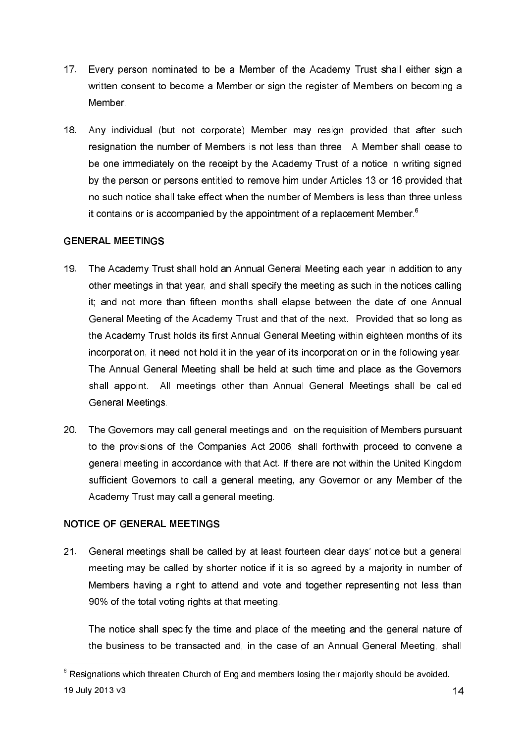- $17<sup>2</sup>$ Every person nominated to be a Member of the Academy Trust shall either sign a written consent to become a Member or sign the register of Members on becoming a Member
- Any individual (but not corporate) Member may resign provided that after such  $18<sub>1</sub>$ resignation the number of Members is not less than three. A Member shall cease to be one immediately on the receipt by the Academy Trust of a notice in writing signed by the person or persons entitled to remove him under Articles 13 or 16 provided that no such notice shall take effect when the number of Members is less than three unless it contains or is accompanied by the appointment of a replacement Member.<sup>6</sup>

# **GENERAL MEETINGS**

- $19<sup>°</sup>$ The Academy Trust shall hold an Annual General Meeting each year in addition to any other meetings in that year, and shall specify the meeting as such in the notices calling it; and not more than fifteen months shall elapse between the date of one Annual General Meeting of the Academy Trust and that of the next. Provided that so long as the Academy Trust holds its first Annual General Meeting within eighteen months of its incorporation, it need not hold it in the year of its incorporation or in the following year. The Annual General Meeting shall be held at such time and place as the Governors shall appoint. All meetings other than Annual General Meetings shall be called General Meetings
- The Governors may call general meetings and, on the requisition of Members pursuant 20 to the provisions of the Companies Act 2006, shall forthwith proceed to convene a general meeting in accordance with that Act. If there are not within the United Kingdom sufficient Governors to call a general meeting, any Governor or any Member of the Academy Trust may call a general meeting.

# **NOTICE OF GENERAL MEETINGS**

 $21$ General meetings shall be called by at least fourteen clear days' notice but a general meeting may be called by shorter notice if it is so agreed by a majority in number of Members having a right to attend and vote and together representing not less than 90% of the total voting rights at that meeting.

The notice shall specify the time and place of the meeting and the general nature of the business to be transacted and, in the case of an Annual General Meeting, shall

 $6$  Resignations which threaten Church of England members losing their majority should be avoided. 19 July 2013 v3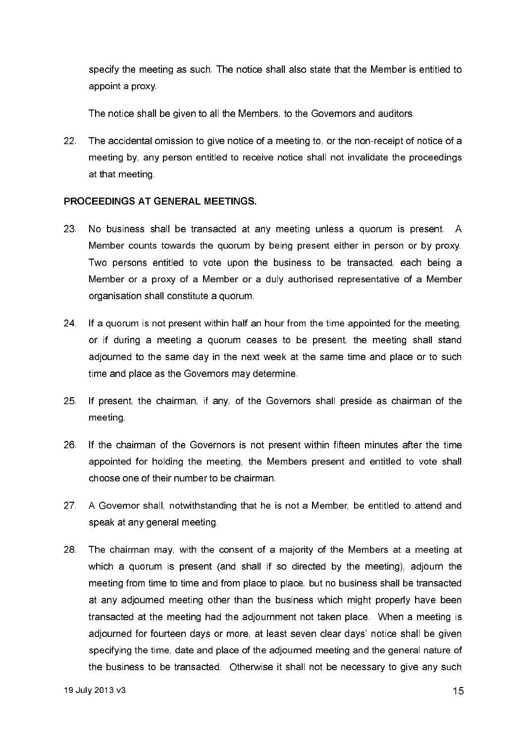specify the meeting as such. The notice shall also state that the Member is entitled to appoint a proxy

The notice shall be given to all the Members, to the Governors and auditors.

 $22.$ The accidental omission to give notice of a meeting to, or the non-receipt of notice of a meeting by, any person entitled to receive notice shall not invalidate the proceedings at that meeting

## PROCEEDINGS AT GENERAL MEETINGS.

- 23 No business shall be transacted at any meeting unless a guorum is present. A Member counts towards the quorum by being present either in person or by proxy. Two persons entitled to vote upon the business to be transacted, each being a Member or a proxy of a Member or a duly authorised representative of a Member organisation shall constitute a quorum.
- 24. If a quorum is not present within half an hour from the time appointed for the meeting, or if during a meeting a quorum ceases to be present, the meeting shall stand adjourned to the same day in the next week at the same time and place or to such time and place as the Governors may determine.
- 25 If present, the chairman, if any, of the Governors shall preside as chairman of the meeting.
- 26 If the chairman of the Governors is not present within fifteen minutes after the time appointed for holding the meeting, the Members present and entitled to vote shall choose one of their number to be chairman.
- $27<sup>2</sup>$ A Governor shall, notwithstanding that he is not a Member, be entitled to attend and speak at any general meeting.
- 28 The chairman may, with the consent of a majority of the Members at a meeting at which a quorum is present (and shall if so directed by the meeting), adjourn the meeting from time to time and from place to place, but no business shall be transacted at any adjourned meeting other than the business which might properly have been transacted at the meeting had the adjournment not taken place. When a meeting is adjourned for fourteen days or more, at least seven clear days' notice shall be given specifying the time, date and place of the adjourned meeting and the general nature of the business to be transacted. Otherwise it shall not be necessary to give any such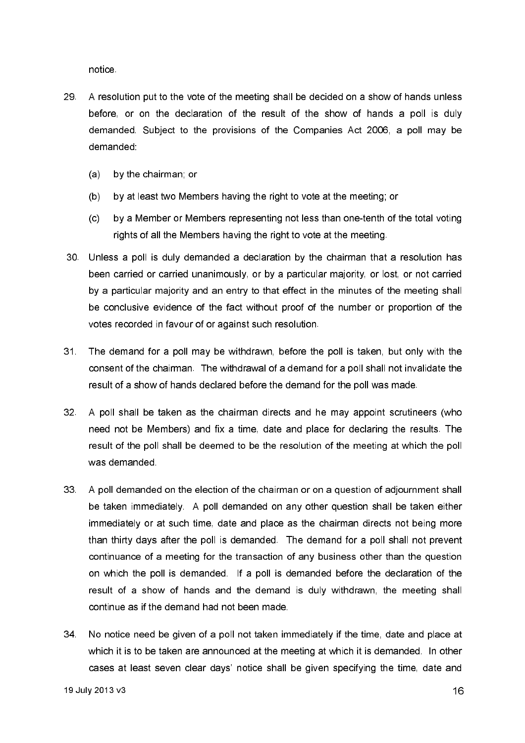notice

- 29. A resolution put to the vote of the meeting shall be decided on a show of hands unless before, or on the declaration of the result of the show of hands a poll is duly demanded. Subject to the provisions of the Companies Act 2006, a poll may be demanded:
	- by the chairman, or  $(a)$
	- $(b)$ by at least two Members having the right to vote at the meeting; or
	- $(c)$ by a Member or Members representing not less than one-tenth of the total voting rights of all the Members having the right to vote at the meeting.
- 30. Unless a poll is duly demanded a declaration by the chairman that a resolution has been carried or carried unanimously, or by a particular majority, or lost, or not carried by a particular majority and an entry to that effect in the minutes of the meeting shall be conclusive evidence of the fact without proof of the number or proportion of the votes recorded in favour of or against such resolution.
- The demand for a poll may be withdrawn, before the poll is taken, but only with the  $31<sup>7</sup>$ consent of the chairman. The withdrawal of a demand for a poll shall not invalidate the result of a show of hands declared before the demand for the poll was made.
- $32<sup>7</sup>$ A poll shall be taken as the chairman directs and he may appoint scrutineers (who need not be Members) and fix a time, date and place for declaring the results. The result of the poll shall be deemed to be the resolution of the meeting at which the poll was demanded
- $33<sup>2</sup>$ A poll demanded on the election of the chairman or on a question of adjournment shall be taken immediately. A poll demanded on any other question shall be taken either immediately or at such time, date and place as the chairman directs not being more than thirty days after the poll is demanded. The demand for a poll shall not prevent continuance of a meeting for the transaction of any business other than the question on which the poll is demanded. If a poll is demanded before the declaration of the result of a show of hands and the demand is duly withdrawn, the meeting shall continue as if the demand had not been made.
- $34<sup>2</sup>$ No notice need be given of a poll not taken immediately if the time, date and place at which it is to be taken are announced at the meeting at which it is demanded. In other cases at least seven clear days' notice shall be given specifying the time, date and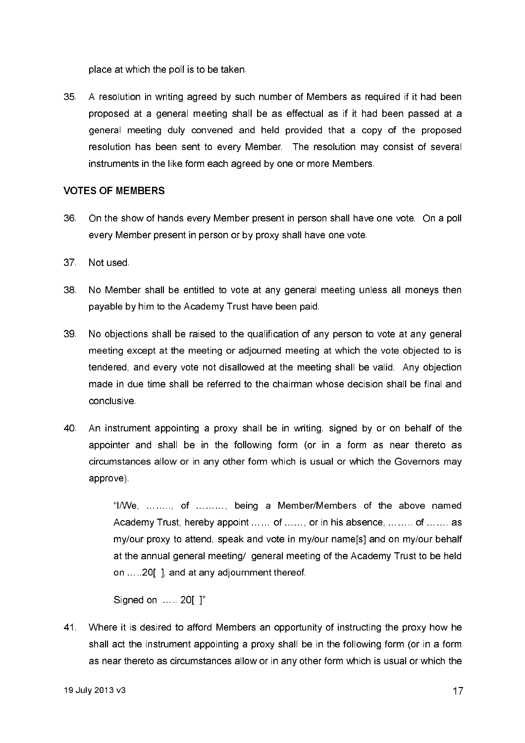place at which the poll is to be taken.

 $35<sup>2</sup>$ A resolution in writing agreed by such number of Members as required if it had been proposed at a general meeting shall be as effectual as if it had been passed at a general meeting duly convened and held provided that a copy of the proposed resolution has been sent to every Member. The resolution may consist of several instruments in the like form each agreed by one or more Members.

## **VOTES OF MEMBERS**

- 36 On the show of hands every Member present in person shall have one vote. On a poll every Member present in person or by proxy shall have one vote.
- $37<sup>2</sup>$ Not used
- No Member shall be entitled to vote at any general meeting unless all moneys then 38. payable by him to the Academy Trust have been paid.
- 39 No objections shall be raised to the qualification of any person to vote at any general meeting except at the meeting or adjourned meeting at which the vote objected to is tendered, and every vote not disallowed at the meeting shall be valid. Any objection made in due time shall be referred to the chairman whose decision shall be final and conclusive
- 40. An instrument appointing a proxy shall be in writing, signed by or on behalf of the appointer and shall be in the following form (or in a form as near thereto as circumstances allow or in any other form which is usual or which the Governors may approve).

"I/We, ........, of ........., being a Member/Members of the above named Academy Trust, hereby appoint ...... of ......, or in his absence, ... .... of ....... as my/our proxy to attend, speak and vote in my/our name[s] and on my/our behalf at the annual general meeting/ general meeting of the Academy Trust to be held on .....20[], and at any adjournment thereof.

Signed on ... . 20[ ]"

41. Where it is desired to afford Members an opportunity of instructing the proxy how he shall act the instrument appointing a proxy shall be in the following form (or in a form as near thereto as circumstances allow or in any other form which is usual or which the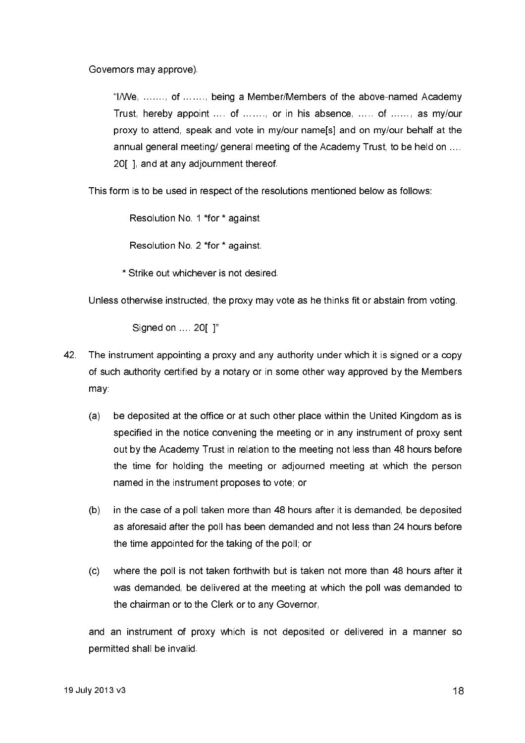Governors may approve).

"I/We, ........ of ....... being a Member/Members of the above-named Academy Trust, hereby appoint .... of ......, or in his absence, ..... of ......, as my/our proxy to attend, speak and vote in my/our name[s] and on my/our behalf at the annual general meeting/ general meeting of the Academy Trust, to be held on .... 20 1, and at any adjournment thereof.

This form is to be used in respect of the resolutions mentioned below as follows:

Resolution No. 1 \*for \* against

Resolution No. 2 \*for \* against.

\* Strike out whichever is not desired.

Unless otherwise instructed, the proxy may vote as he thinks fit or abstain from voting.

Signed on ... 20[ 1"

- 42 The instrument appointing a proxy and any authority under which it is signed or a copy of such authority certified by a notary or in some other way approved by the Members may:
	- be deposited at the office or at such other place within the United Kingdom as is  $(a)$ specified in the notice convening the meeting or in any instrument of proxy sent out by the Academy Trust in relation to the meeting not less than 48 hours before the time for holding the meeting or adjourned meeting at which the person named in the instrument proposes to vote; or
	- in the case of a poll taken more than 48 hours after it is demanded, be deposited  $(b)$ as aforesaid after the poll has been demanded and not less than 24 hours before the time appointed for the taking of the poll; or
	- where the poll is not taken forthwith but is taken not more than 48 hours after it  $(c)$ was demanded, be delivered at the meeting at which the poll was demanded to the chairman or to the Clerk or to any Governor.

and an instrument of proxy which is not deposited or delivered in a manner so permitted shall be invalid.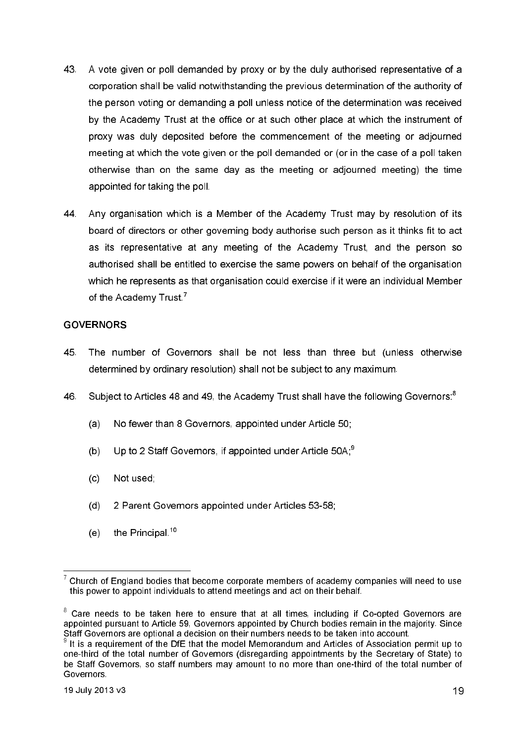- 43 A vote given or poll demanded by proxy or by the duly authorised representative of a corporation shall be valid notwithstanding the previous determination of the authority of the person voting or demanding a poll unless notice of the determination was received by the Academy Trust at the office or at such other place at which the instrument of proxy was duly deposited before the commencement of the meeting or adjourned meeting at which the vote given or the poll demanded or (or in the case of a poll taken otherwise than on the same day as the meeting or adjourned meeting) the time appointed for taking the poll.
- 44 Any organisation which is a Member of the Academy Trust may by resolution of its board of directors or other governing body authorise such person as it thinks fit to act as its representative at any meeting of the Academy Trust, and the person so authorised shall be entitled to exercise the same powers on behalf of the organisation which he represents as that organisation could exercise if it were an individual Member of the Academy Trust<sup>7</sup>

## **GOVERNORS**

- 45 The number of Governors shall be not less than three but (unless otherwise determined by ordinary resolution) shall not be subject to any maximum.
- Subject to Articles 48 and 49, the Academy Trust shall have the following Governors.<sup>8</sup> 46.
	- $(a)$ No fewer than 8 Governors, appointed under Article 50:
	- Up to 2 Staff Governors, if appointed under Article 50A;<sup>9</sup>  $(b)$
	- $(c)$ Not used:
	- $(d)$ 2 Parent Governors appointed under Articles 53-58;
	- the Principal.<sup>10</sup>  $(e)$

 $7$  Church of England bodies that become corporate members of academy companies will need to use this power to appoint individuals to attend meetings and act on their behalf.

<sup>&</sup>lt;sup>8</sup> Care needs to be taken here to ensure that at all times, including if Co-opted Governors are appointed pursuant to Article 59, Governors appointed by Church bodies remain in the majority. Since Staff Governors are optional a decision on their numbers needs to be taken into account.

 $\frac{9}{9}$  It is a requirement of the DfE that the model Memorandum and Articles of Association permit up to one-third of the total number of Governors (disregarding appointments by the Secretary of State) to be Staff Governors, so staff numbers may amount to no more than one-third of the total number of Governors.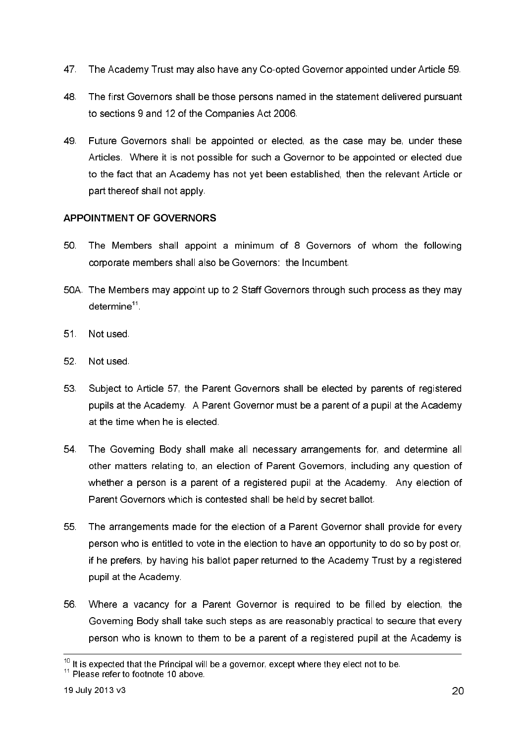- 47 The Academy Trust may also have any Co-opted Governor appointed under Article 59.
- 48 The first Governors shall be those persons named in the statement delivered pursuant to sections 9 and 12 of the Companies Act 2006.
- 49 Future Governors shall be appointed or elected, as the case may be, under these Articles. Where it is not possible for such a Governor to be appointed or elected due to the fact that an Academy has not yet been established, then the relevant Article or part thereof shall not apply.

# **APPOINTMENT OF GOVERNORS**

- 50 The Members shall appoint a minimum of 8 Governors of whom the following corporate members shall also be Governors: the Incumbent.
- 50A. The Members may appoint up to 2 Staff Governors through such process as they may  $determine<sup>11</sup>$ .
- $51$ Not used.
- 52 Not used
- Subject to Article 57, the Parent Governors shall be elected by parents of registered 53. pupils at the Academy. A Parent Governor must be a parent of a pupil at the Academy at the time when he is elected.
- 54 The Governing Body shall make all necessary arrangements for, and determine all other matters relating to, an election of Parent Governors, including any question of whether a person is a parent of a registered pupil at the Academy. Any election of Parent Governors which is contested shall be held by secret ballot.
- 55 The arrangements made for the election of a Parent Governor shall provide for every person who is entitled to vote in the election to have an opportunity to do so by post or, if he prefers, by having his ballot paper returned to the Academy Trust by a registered pupil at the Academy.
- 56. Where a vacancy for a Parent Governor is required to be filled by election, the Governing Body shall take such steps as are reasonably practical to secure that every person who is known to them to be a parent of a registered pupil at the Academy is

 $10$  It is expected that the Principal will be a governor, except where they elect not to be.

 $11$  Please refer to footnote 10 above.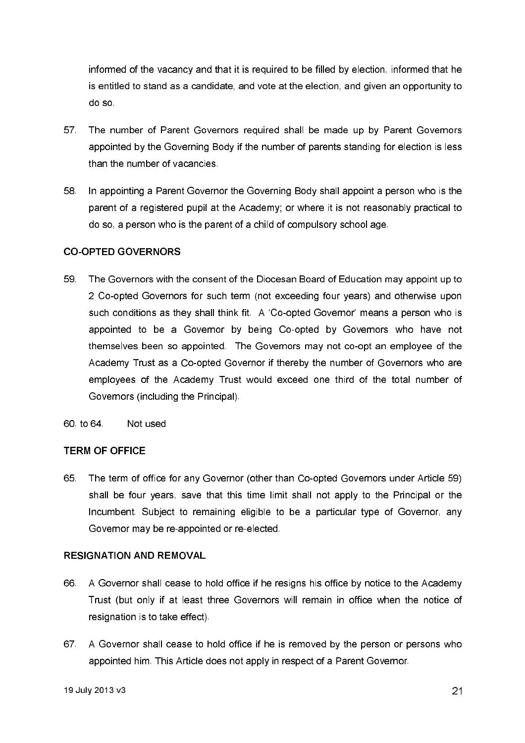informed of the vacancy and that it is required to be filled by election, informed that he is entitled to stand as a candidate, and vote at the election, and given an opportunity to do so

- The number of Parent Governors required shall be made up by Parent Governors 57 appointed by the Governing Body if the number of parents standing for election is less than the number of vacancies
- In appointing a Parent Governor the Governing Body shall appoint a person who is the 58. parent of a registered pupil at the Academy; or where it is not reasonably practical to do so, a person who is the parent of a child of compulsory school age.

## **CO-OPTED GOVERNORS**

- 59 The Governors with the consent of the Diocesan Board of Education may appoint up to 2 Co-opted Governors for such term (not exceeding four years) and otherwise upon such conditions as they shall think fit. A 'Co-opted Governor' means a person who is appointed to be a Governor by being Co-opted by Governors who have not themselves been so appointed. The Governors may not co-opt an employee of the Academy Trust as a Co-opted Governor if thereby the number of Governors who are employees of the Academy Trust would exceed one third of the total number of Governors (including the Principal).
- 60 to 64 Not used

### **TERM OF OFFICE**

65 The term of office for any Governor (other than Co-opted Governors under Article 59) shall be four years, save that this time limit shall not apply to the Principal or the Incumbent. Subject to remaining eligible to be a particular type of Governor, any Governor may be re-appointed or re-elected.

## **RESIGNATION AND REMOVAL**

- A Governor shall cease to hold office if he resigns his office by notice to the Academy 66. Trust (but only if at least three Governors will remain in office when the notice of resignation is to take effect).
- 67 A Governor shall cease to hold office if he is removed by the person or persons who appointed him. This Article does not apply in respect of a Parent Governor.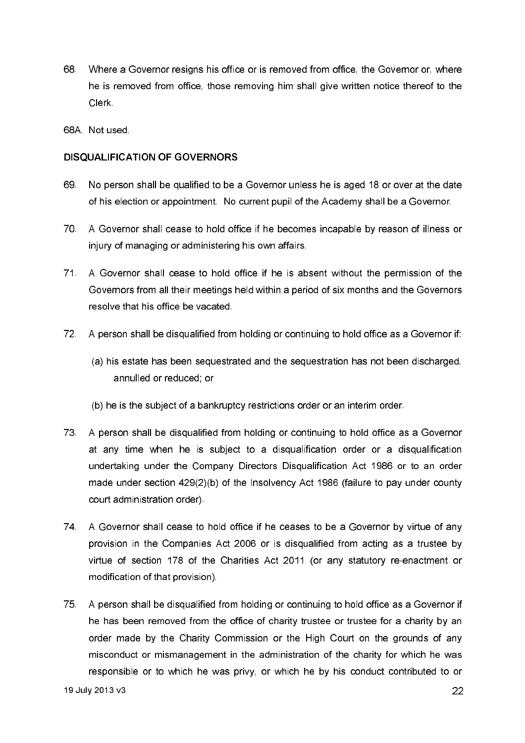- 68. Where a Governor resigns his office or is removed from office, the Governor or, where he is removed from office, those removing him shall give written notice thereof to the Clerk
- 68A Not used

## **DISQUALIFICATION OF GOVERNORS**

- 69 No person shall be qualified to be a Governor unless he is aged 18 or over at the date of his election or appointment. No current pupil of the Academy shall be a Governor.
- 70. A Governor shall cease to hold office if he becomes incapable by reason of illness or injury of managing or administering his own affairs.
- A Governor shall cease to hold office if he is absent without the permission of the 71. Governors from all their meetings held within a period of six months and the Governors resolve that his office be vacated.
- $72$ A person shall be disqualified from holding or continuing to hold office as a Governor if:
	- (a) his estate has been sequestrated and the sequestration has not been discharged, annulled or reduced; or
	- (b) he is the subject of a bankruptcy restrictions order or an interim order.
- 73 A person shall be disqualified from holding or continuing to hold office as a Governor at any time when he is subject to a disqualification order or a disqualification undertaking under the Company Directors Disqualification Act 1986 or to an order made under section  $429(2)(b)$  of the Insolvency Act 1986 (failure to pay under county court administration order).
- 74. A Governor shall cease to hold office if he ceases to be a Governor by virtue of any provision in the Companies Act 2006 or is disqualified from acting as a trustee by virtue of section 178 of the Charities Act 2011 (or any statutory re-enactment or modification of that provision).
- 75 A person shall be disqualified from holding or continuing to hold office as a Governor if he has been removed from the office of charity trustee or trustee for a charity by an order made by the Charity Commission or the High Court on the grounds of any misconduct or mismanagement in the administration of the charity for which he was responsible or to which he was privy, or which he by his conduct contributed to or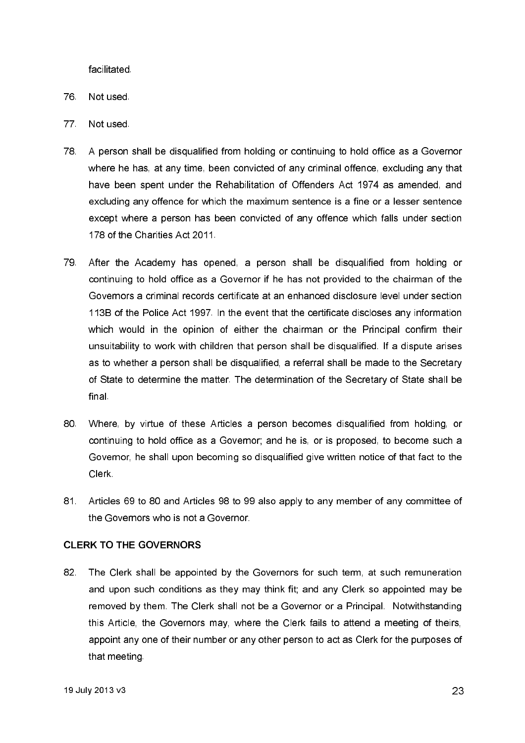facilitated.

- 76 Not used
- 77 Not used
- 78 A person shall be disqualified from holding or continuing to hold office as a Governor where he has, at any time, been convicted of any criminal offence, excluding any that have been spent under the Rehabilitation of Offenders Act 1974 as amended, and excluding any offence for which the maximum sentence is a fine or a lesser sentence except where a person has been convicted of any offence which falls under section 178 of the Charities Act 2011.
- After the Academy has opened, a person shall be disqualified from holding or 79. continuing to hold office as a Governor if he has not provided to the chairman of the Governors a criminal records certificate at an enhanced disclosure level under section 113B of the Police Act 1997. In the event that the certificate discloses any information which would in the opinion of either the chaiman or the Principal confirm their unsuitability to work with children that person shall be disqualified. If a dispute arises as to whether a person shall be disqualified, a referral shall be made to the Secretary of State to determine the matter. The determination of the Secretary of State shall be final.
- 80. Where, by virtue of these Articles a person becomes disqualified from holding, or continuing to hold office as a Govemor; and he is, or is proposed, to become such a Governor, he shall upon becoming so disqualified give written notice of that fact to the Clerk
- 81. Articles 69 to 80 and Articles 98 to 99 also apply to any member of any committee of the Governors who is not a Governor.

### **CLERK TO THE GOVERNORS**

82. The Clerk shall be appointed by the Governors for such term, at such remuneration and upon such conditions as they may think fit; and any Clerk so appointed may be removed by them. The Clerk shall not be a Governor or a Principal. Notwithstanding this Article, the Governors may, where the Clerk fails to attend a meeting of theirs, appoint any one of their number or any other person to act as Clerk for the purposes of that meeting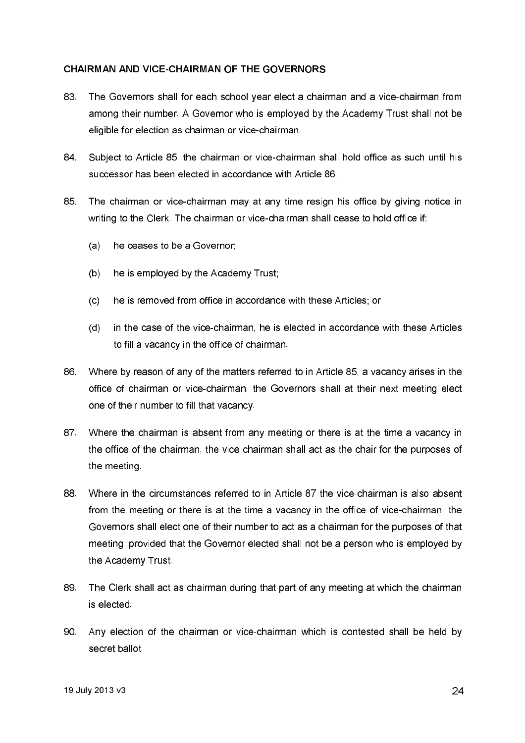## CHAIRMAN AND VICE-CHAIRMAN OF THE GOVERNORS

- 83. The Governors shall for each school year elect a chairman and a vice-chairman from among their number. A Governor who is emploved by the Academy Trust shall not be eligible for election as chairman or vice-chairman.
- 84 Subject to Article 85, the chairman or vice-chairman shall hold office as such until his successor has been elected in accordance with Article 86.
- 85. The chairman or vice-chairman may at any time resign his office by giving notice in writing to the Clerk. The chairman or vice-chairman shall cease to hold office if:
	- $(a)$ he ceases to be a Governor;
	- he is employed by the Academy Trust;  $(b)$
	- he is removed from office in accordance with these Articles; or  $(c)$
	- $(d)$ in the case of the vice-chairman, he is elected in accordance with these Articles to fill a vacancy in the office of chairman.
- 86. Where by reason of any of the matters referred to in Article 85, a vacancy arises in the office of chairman or vice-chairman, the Governors shall at their next meeting elect one of their number to fill that vacancy.
- 87 Where the chairman is absent from any meeting or there is at the time a vacancy in the office of the chairman, the vice-chairman shall act as the chair for the purposes of the meeting
- 88. Where in the circumstances referred to in Article 87 the vice-chairman is also absent from the meeting or there is at the time a vacancy in the office of vice-chairman, the Governors shall elect one of their number to act as a chairman for the purposes of that meeting, provided that the Governor elected shall not be a person who is employed by the Academy Trust.
- 89 The Clerk shall act as chairman during that part of any meeting at which the chairman is elected.
- 90 Any election of the chairman or vice-chairman which is contested shall be held by secret ballot.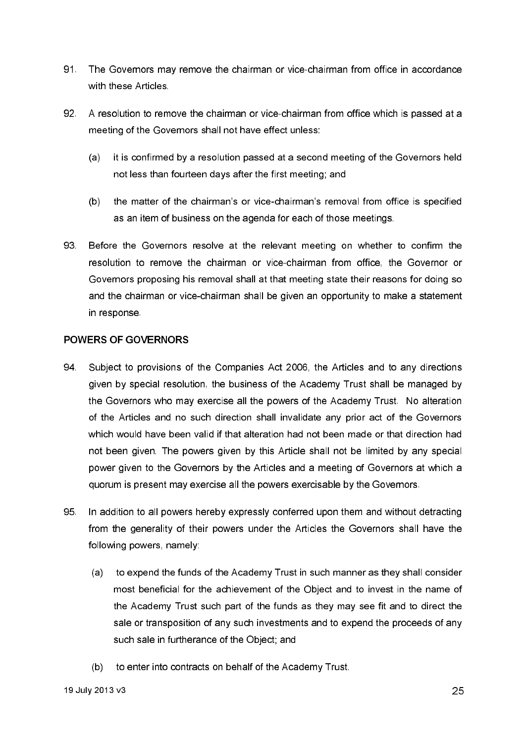- 91. The Governors may remove the chairman or vice-chairman from office in accordance with these Articles.
- 92 A resolution to remove the chairman or vice-chairman from office which is passed at a meeting of the Governors shall not have effect unless:
	- it is confirmed by a resolution passed at a second meeting of the Govemors held  $(a)$ not less than fourteen days after the first meeting; and
	- $(b)$ the matter of the chairman's or vice-chairman's removal from office is specified as an item of business on the agenda for each of those meetings.
- 93. Before the Governors resolve at the relevant meeting on whether to confirm the resolution to remove the chairman or vice-chairman from office, the Governor or Governors proposing his removal shall at that meeting state their reasons for doing so and the chairman or vice-chairman shall be given an opportunity to make a statement in response

## **POWERS OF GOVERNORS**

- 94 Subject to provisions of the Companies Act 2006, the Articles and to any directions given by special resolution, the business of the Academy Trust shall be managed by the Governors who may exercise all the powers of the Academy Trust. No alteration of the Articles and no such direction shall invalidate any prior act of the Governors which would have been valid if that alteration had not been made or that direction had not been given. The powers given by this Article shall not be limited by any special power given to the Governors by the Articles and a meeting of Governors at which a quorum is present may exercise all the powers exercisable by the Governors.
- 95 In addition to all powers hereby expressly conferred upon them and without detracting from the generality of their powers under the Articles the Governors shall have the following powers, namely:
	- to expend the funds of the Academy Trust in such manner as they shall consider  $(a)$ most beneficial for the achievement of the Object and to invest in the name of the Academy Trust such part of the funds as they may see fit and to direct the sale or transposition of any such investments and to expend the proceeds of any such sale in furtherance of the Object; and
	- to enter into contracts on behalf of the Academy Trust.  $(b)$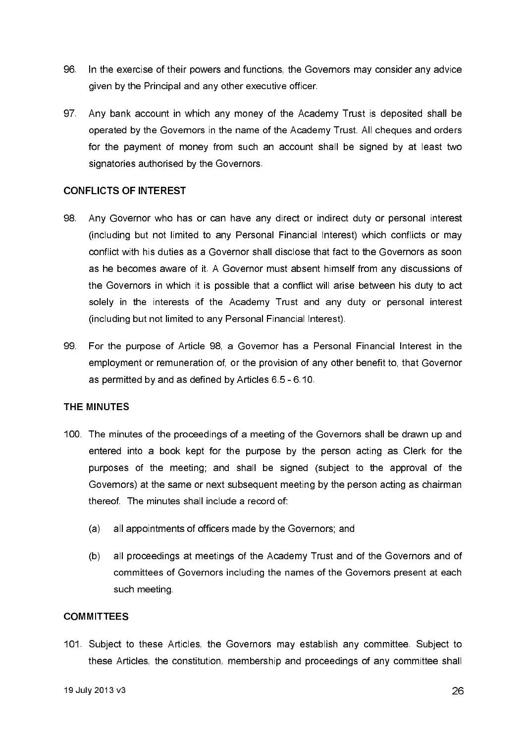- 96 In the exercise of their powers and functions, the Governors may consider any advice given by the Principal and any other executive officer.
- 97 Any bank account in which any money of the Academy Trust is deposited shall be operated by the Governors in the name of the Academy Trust. All cheques and orders for the payment of money from such an account shall be signed by at least two signatories authorised by the Governors.

### **CONFLICTS OF INTEREST**

- 98 Any Governor who has or can have any direct or indirect duty or personal interest (including but not limited to any Personal Financial Interest) which conflicts or may conflict with his duties as a Governor shall disclose that fact to the Governors as soon as he becomes aware of it. A Governor must absent himself from any discussions of the Governors in which it is possible that a conflict will arise between his duty to act solely in the interests of the Academy Trust and any duty or personal interest (including but not limited to any Personal Financial Interest).
- 99. For the purpose of Article 98, a Governor has a Personal Financial Interest in the employment or remuneration of, or the provision of any other benefit to, that Governor as permitted by and as defined by Articles 6.5 - 6.10.

### THE MINUTES

- 100. The minutes of the proceedings of a meeting of the Governors shall be drawn up and entered into a book kept for the purpose by the person acting as Clerk for the purposes of the meeting; and shall be signed (subject to the approval of the Governors) at the same or next subsequent meeting by the person acting as chairman thereof. The minutes shall include a record of
	- all appointments of officers made by the Governors; and  $(a)$
	- all proceedings at meetings of the Academy Trust and of the Governors and of  $(b)$ committees of Governors including the names of the Governors present at each such meeting.

### **COMMITTEES**

101. Subject to these Articles, the Governors may establish any committee. Subject to these Articles, the constitution, membership and proceedings of any committee shall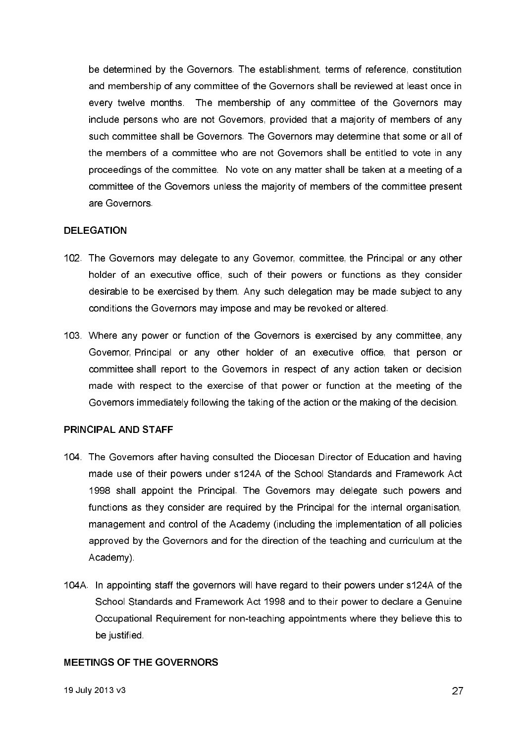be determined by the Governors. The establishment, terms of reference, constitution and membership of any committee of the Governors shall be reviewed at least once in every twelve months. The membership of any committee of the Governors may include persons who are not Governors, provided that a majority of members of any such committee shall be Governors. The Governors may determine that some or all of the members of a committee who are not Governors shall be entitled to vote in any proceedings of the committee. No vote on any matter shall be taken at a meeting of a committee of the Governors unless the majority of members of the committee present are Governors.

### **DELEGATION**

- 102. The Governors may delegate to any Governor, committee, the Principal or any other holder of an executive office, such of their powers or functions as they consider desirable to be exercised by them. Any such delegation may be made subject to any conditions the Governors may impose and may be revoked or altered.
- 103. Where any power or function of the Governors is exercised by any committee, any Governor, Principal or any other holder of an executive office, that person or committee shall report to the Governors in respect of any action taken or decision made with respect to the exercise of that power or function at the meeting of the Governors immediately following the taking of the action or the making of the decision.

### **PRINCIPAL AND STAFF**

- 104. The Governors after having consulted the Diocesan Director of Education and having made use of their powers under s124A of the School Standards and Framework Act 1998 shall appoint the Principal. The Governors may delegate such powers and functions as they consider are required by the Principal for the internal organisation, management and control of the Academy (including the implementation of all policies approved by the Governors and for the direction of the teaching and curriculum at the Academy)
- 104A. In appointing staff the governors will have regard to their powers under s124A of the School Standards and Framework Act 1998 and to their power to declare a Genuine Occupational Requirement for non-teaching appointments where they believe this to be justified

### **MEETINGS OF THE GOVERNORS**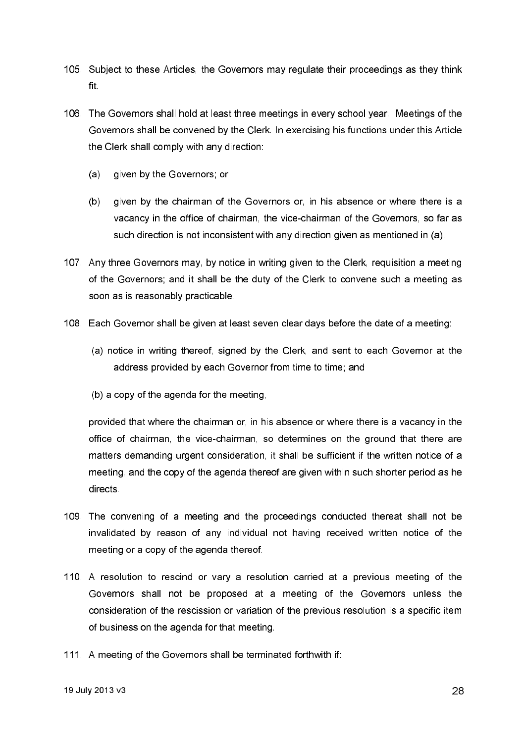- 105. Subject to these Articles, the Governors may regulate their proceedings as they think fit.
- 106. The Governors shall hold at least three meetings in every school year. Meetings of the Governors shall be convened by the Clerk. In exercising his functions under this Article the Clerk shall comply with any direction:
	- given by the Governors; or  $(a)$
	- $(b)$ given by the chairman of the Governors or, in his absence or where there is a vacancy in the office of chairman, the vice-chairman of the Governors, so far as such direction is not inconsistent with any direction given as mentioned in (a).
- 107. Any three Governors may, by notice in writing given to the Clerk, requisition a meeting of the Governors; and it shall be the duty of the Clerk to convene such a meeting as soon as is reasonably practicable.
- 108. Each Governor shall be given at least seven clear days before the date of a meeting:
	- (a) notice in writing thereof, signed by the Clerk, and sent to each Governor at the address provided by each Governor from time to time; and
	- (b) a copy of the agenda for the meeting,

provided that where the chairman or, in his absence or where there is a vacancy in the office of chairman, the vice-chairman, so determines on the ground that there are matters demanding urgent consideration, it shall be sufficient if the written notice of a meeting, and the copy of the agenda thereof are given within such shorter period as he directs

- 109. The convening of a meeting and the proceedings conducted thereat shall not be invalidated by reason of any individual not having received written notice of the meeting or a copy of the agenda thereof.
- 110. A resolution to rescind or vary a resolution carried at a previous meeting of the Governors shall not be proposed at a meeting of the Governors unless the consideration of the rescission or variation of the previous resolution is a specific item of business on the agenda for that meeting.
- 111. A meeting of the Governors shall be terminated forthwith if: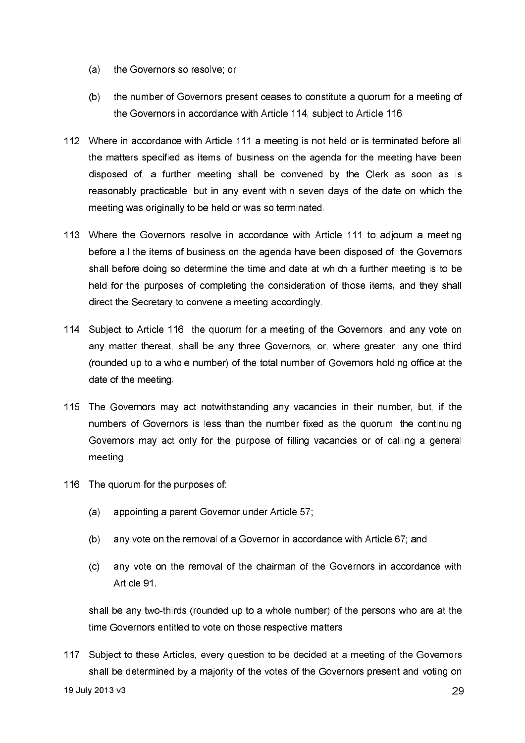- (a) the Governors so resolve; or
- the number of Governors present ceases to constitute a quorum for a meeting of  $(b)$ the Governors in accordance with Article 114, subject to Article 116.
- 112. Where in accordance with Article 111 a meeting is not held or is terminated before all the matters specified as items of business on the agenda for the meeting have been disposed of, a further meeting shall be convened by the Clerk as soon as is reasonably practicable, but in any event within seven days of the date on which the meeting was originally to be held or was so terminated.
- 113. Where the Governors resolve in accordance with Article 111 to adjourn a meeting before all the items of business on the agenda have been disposed of, the Governors shall before doing so determine the time and date at which a further meeting is to be held for the purposes of completing the consideration of those items, and they shall direct the Secretary to convene a meeting accordingly.
- 114. Subject to Article 116 the quorum for a meeting of the Governors, and any vote on any matter thereat, shall be any three Governors, or, where greater, any one third (rounded up to a whole number) of the total number of Governors holding office at the date of the meeting.
- 115. The Governors may act notwithstanding any vacancies in their number, but, if the numbers of Governors is less than the number fixed as the quorum, the continuing Governors may act only for the purpose of filling vacancies or of calling a general meeting.
- 116. The quorum for the purposes of
	- appointing a parent Governor under Article 57;  $(a)$
	- $(b)$ any vote on the removal of a Governor in accordance with Article 67; and
	- any vote on the removal of the chairman of the Governors in accordance with  $(c)$ Article 91.

shall be any two-thirds (rounded up to a whole number) of the persons who are at the time Governors entitled to vote on those respective matters.

117. Subject to these Articles, every question to be decided at a meeting of the Governors shall be determined by a majority of the votes of the Governors present and voting on 19 July 2013 v3 29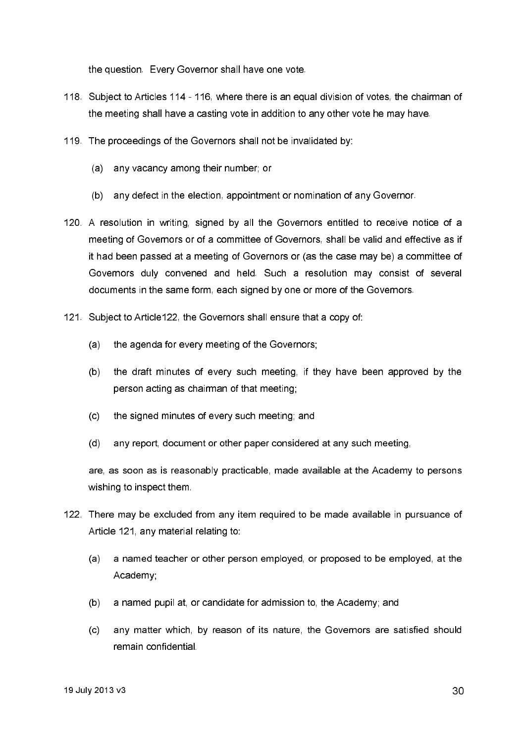the question. Every Governor shall have one vote.

- 118. Subject to Articles 114 116, where there is an equal division of votes, the chairman of the meeting shall have a casting yote in addition to any other yote he may have.
- 119. The proceedings of the Governors shall not be invalidated by:
	- any vacancy among their number; or  $(a)$
	- $(b)$ any defect in the election, appointment or nomination of any Governor.
- 120. A resolution in writing, signed by all the Governors entitled to receive notice of a meeting of Governors or of a committee of Governors, shall be valid and effective as if it had been passed at a meeting of Governors or (as the case may be) a committee of Governors duly convened and held. Such a resolution may consist of several documents in the same form, each signed by one or more of the Governors.
- 121. Subject to Article122, the Governors shall ensure that a copy of:
	- $(a)$ the agenda for every meeting of the Governors;
	- $(b)$ the draft minutes of every such meeting, if they have been approved by the person acting as chairman of that meeting;
	- $(c)$ the signed minutes of every such meeting: and
	- $(d)$ any report, document or other paper considered at any such meeting,

are, as soon as is reasonably practicable, made available at the Academy to persons wishing to inspect them.

- 122. There may be excluded from any item required to be made available in pursuance of Article 121, any material relating to:
	- a named teacher or other person employed, or proposed to be employed, at the  $(a)$ Academy:
	- $(b)$ a named pupil at, or candidate for admission to, the Academy; and
	- any matter which, by reason of its nature, the Governors are satisfied should  $(c)$ remain confidential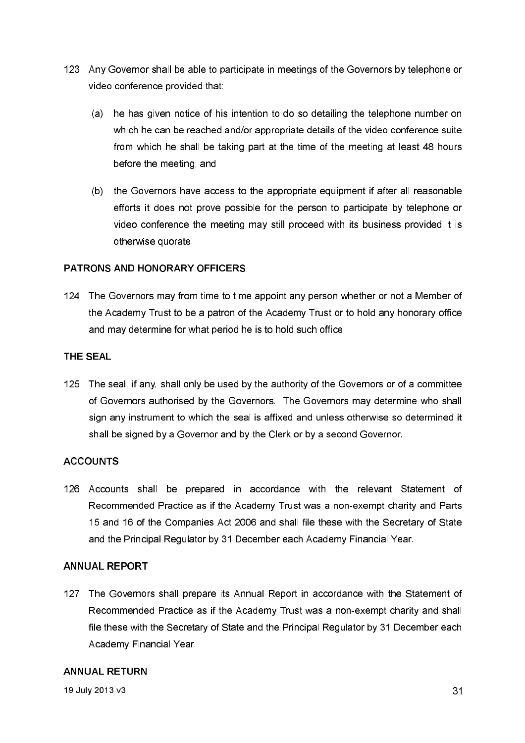- 123. Any Governor shall be able to participate in meetings of the Governors by telephone or video conference provided that:
	- (a) he has given notice of his intention to do so detailing the telephone number on which he can be reached and/or appropriate details of the video conference suite from which he shall be taking part at the time of the meeting at least 48 hours before the meeting; and
	- (b) the Governors have access to the appropriate equipment if after all reasonable efforts it does not prove possible for the person to participate by telephone or video conference the meeting may still proceed with its business provided it is otherwise quorate.

## PATRONS AND HONORARY OFFICERS

124. The Governors may from time to time appoint any person whether or not a Member of the Academy Trust to be a patron of the Academy Trust or to hold any honorary office and may determine for what period he is to hold such office.

## **THE SEAL**

125. The seal, if any, shall only be used by the authority of the Governors or of a committee of Governors authorised by the Governors. The Governors may determine who shall sign any instrument to which the seal is affixed and unless otherwise so determined it shall be signed by a Governor and by the Clerk or by a second Governor.

## **ACCOUNTS**

126. Accounts shall be prepared in accordance with the relevant Statement of Recommended Practice as if the Academy Trust was a non-exempt charity and Parts 15 and 16 of the Companies Act 2006 and shall file these with the Secretary of State and the Principal Regulator by 31 December each Academy Financial Year.

## **ANNUAL REPORT**

127. The Governors shall prepare its Annual Report in accordance with the Statement of Recommended Practice as if the Academy Trust was a non-exempt charity and shall file these with the Secretary of State and the Principal Regulator by 31 December each Academy Financial Year.

## **ANNUAL RETURN**

19 July 2013 v3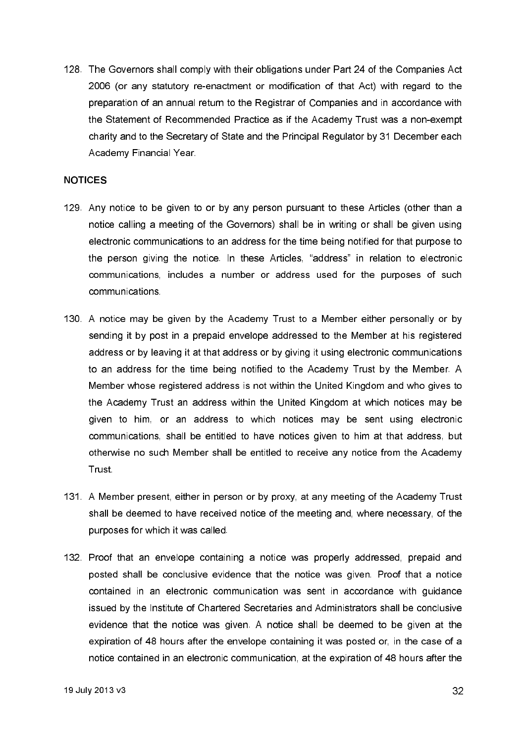128. The Governors shall comply with their obligations under Part 24 of the Companies Act 2006 (or any statutory re-enactment or modification of that Act) with regard to the preparation of an annual return to the Registrar of Companies and in accordance with the Statement of Recommended Practice as if the Academy Trust was a non-exempt charity and to the Secretary of State and the Principal Regulator by 31 December each Academy Financial Year.

#### **NOTICES**

- 129. Any notice to be given to or by any person pursuant to these Articles (other than a notice calling a meeting of the Governors) shall be in writing or shall be given using electronic communications to an address for the time being notified for that purpose to the person giving the notice. In these Articles, "address" in relation to electronic communications, includes a number or address used for the purposes of such communications
- 130. A notice may be given by the Academy Trust to a Member either personally or by sending it by post in a prepaid envelope addressed to the Member at his registered address or by leaving it at that address or by giving it using electronic communications to an address for the time being notified to the Academy Trust by the Member. A Member whose registered address is not within the United Kingdom and who gives to the Academy Trust an address within the United Kingdom at which notices may be given to him, or an address to which notices may be sent using electronic communications, shall be entitled to have notices given to him at that address, but otherwise no such Member shall be entitled to receive any notice from the Academy Trust
- 131. A Member present, either in person or by proxy, at any meeting of the Academy Trust shall be deemed to have received notice of the meeting and, where necessary, of the purposes for which it was called.
- 132. Proof that an envelope containing a notice was properly addressed, prepaid and posted shall be conclusive evidence that the notice was given. Proof that a notice contained in an electronic communication was sent in accordance with guidance issued by the Institute of Chartered Secretaries and Administrators shall be conclusive evidence that the notice was given. A notice shall be deemed to be given at the expiration of 48 hours after the envelope containing it was posted or, in the case of a notice contained in an electronic communication, at the expiration of 48 hours after the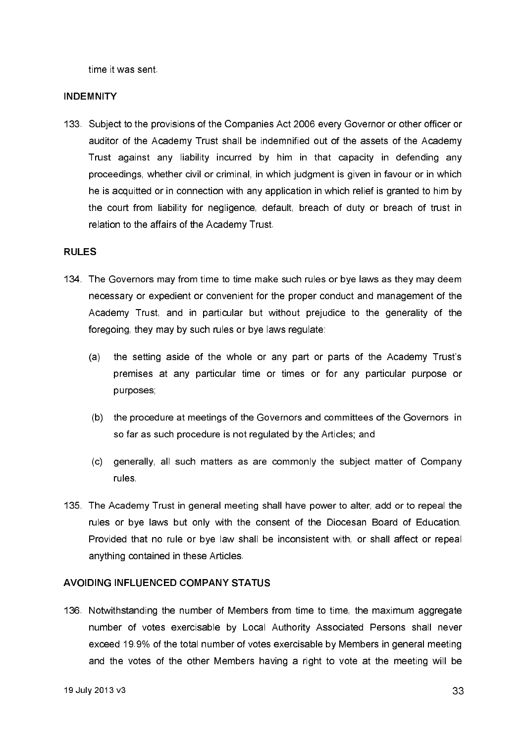time it was sent

#### **INDEMNITY**

133. Subject to the provisions of the Companies Act 2006 every Governor or other officer or auditor of the Academy Trust shall be indemnified out of the assets of the Academy Trust against any liability incurred by him in that capacity in defending any proceedings, whether civil or criminal, in which judgment is given in favour or in which he is acquitted or in connection with any application in which relief is granted to him by the court from liability for negligence, default, breach of duty or breach of trust in relation to the affairs of the Academy Trust.

#### **RULES**

- 134. The Governors may from time to time make such rules or bye laws as they may deem necessary or expedient or convenient for the proper conduct and management of the Academy Trust, and in particular but without prejudice to the generality of the foregoing, they may by such rules or bye laws regulate:
	- the setting aside of the whole or any part or parts of the Academy Trust's  $(a)$ premises at any particular time or times or for any particular purpose or purposes;
	- (b) the procedure at meetings of the Governors and committees of the Governors in so far as such procedure is not regulated by the Articles: and
	- generally, all such matters as are commonly the subject matter of Company  $(c)$ rules.
- 135. The Academy Trust in general meeting shall have power to alter, add or to repeal the rules or bye laws but only with the consent of the Diocesan Board of Education. Provided that no rule or bye law shall be inconsistent with, or shall affect or repeal anything contained in these Articles.

### AVOIDING INFLUENCED COMPANY STATUS

136. Notwithstanding the number of Members from time to time, the maximum aggregate number of votes exercisable by Local Authority Associated Persons shall never exceed 19.9% of the total number of votes exercisable by Members in general meeting and the votes of the other Members having a right to vote at the meeting will be